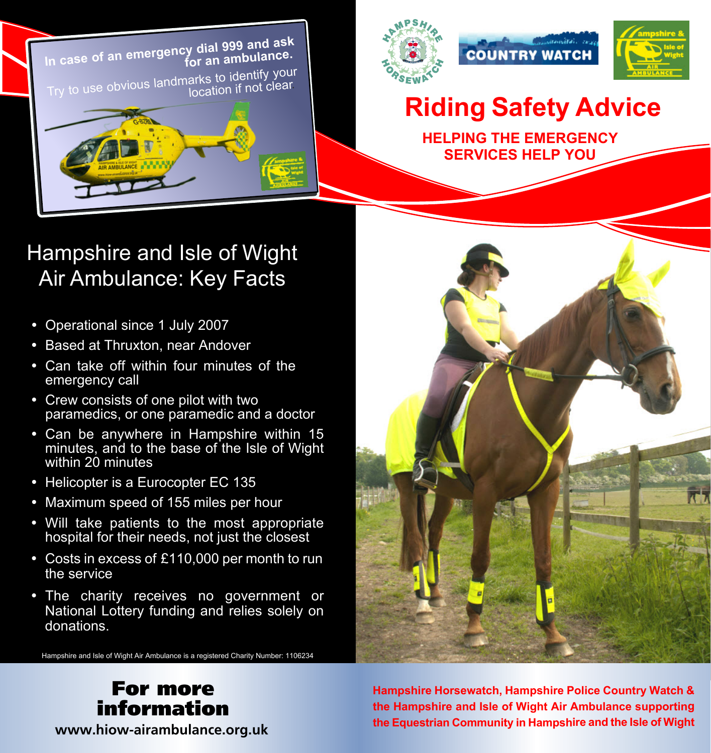





## **Riding Safety Advice**

**HELPING THE EMERGENCY SERVICES HELP YOU**

## Hampshire and Isle of Wight Air Ambulance: Key Facts

- Operational since 1 July 2007
- Based at Thruxton, near Andover
- Can take off within four minutes of the emergency call
- Crew consists of one pilot with two paramedics, or one paramedic and a doctor
- Can be anywhere in Hampshire within 15 minutes, and to the base of the Isle of Wight within 20 minutes
- Helicopter is a Eurocopter EC 135
- Maximum speed of 155 miles per hour
- Will take patients to the most appropriate hospital for their needs, not just the closest
- Costs in excess of £110,000 per month to run the service
- The charity receives no government or National Lottery funding and relies solely on donations.

Hampshire and Isle of Wight Air Ambulance is a registered Charity Number: 1106234



**Hampshire Horsewatch, Hampshire Police Country Watch & the Hampshire and Isle of Wight Air Ambulance supporting the Equestrian Community in Hampshire and the Isle of Wight**

#### For more information **www.hiow-airambulance.org.uk**